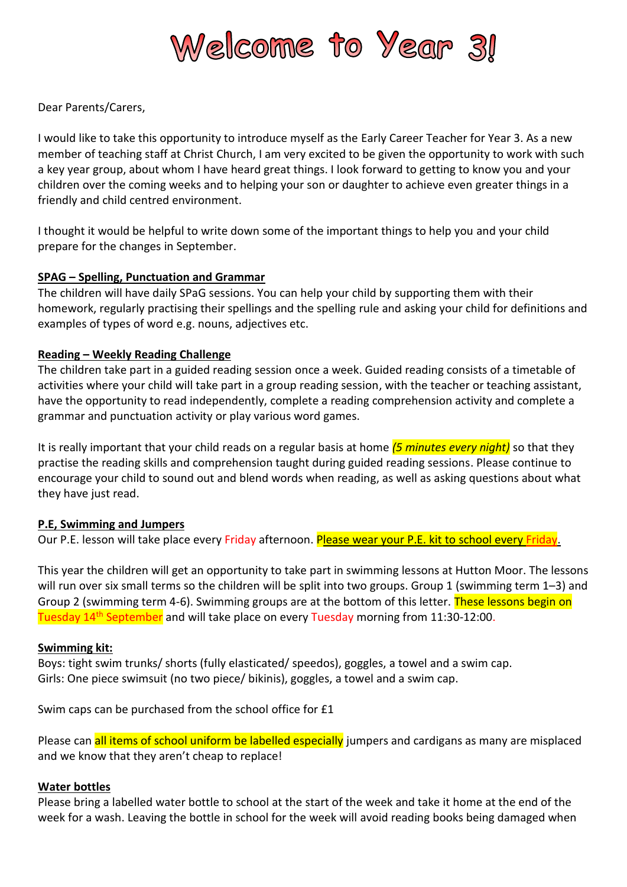

Dear Parents/Carers,

I would like to take this opportunity to introduce myself as the Early Career Teacher for Year 3. As a new member of teaching staff at Christ Church, I am very excited to be given the opportunity to work with such a key year group, about whom I have heard great things. I look forward to getting to know you and your children over the coming weeks and to helping your son or daughter to achieve even greater things in a friendly and child centred environment.

I thought it would be helpful to write down some of the important things to help you and your child prepare for the changes in September.

# **SPAG – Spelling, Punctuation and Grammar**

The children will have daily SPaG sessions. You can help your child by supporting them with their homework, regularly practising their spellings and the spelling rule and asking your child for definitions and examples of types of word e.g. nouns, adjectives etc.

# **Reading – Weekly Reading Challenge**

The children take part in a guided reading session once a week. Guided reading consists of a timetable of activities where your child will take part in a group reading session, with the teacher or teaching assistant, have the opportunity to read independently, complete a reading comprehension activity and complete a grammar and punctuation activity or play various word games.

It is really important that your child reads on a regular basis at home *(5 minutes every night)* so that they practise the reading skills and comprehension taught during guided reading sessions. Please continue to encourage your child to sound out and blend words when reading, as well as asking questions about what they have just read.

### **P.E, Swimming and Jumpers**

Our P.E. lesson will take place every Friday afternoon. Please wear your P.E. kit to school every Friday.

This year the children will get an opportunity to take part in swimming lessons at Hutton Moor. The lessons will run over six small terms so the children will be split into two groups. Group 1 (swimming term 1–3) and Group 2 (swimming term 4-6). Swimming groups are at the bottom of this letter. These lessons begin on Tuesday 14th September and will take place on every Tuesday morning from 11:30-12:00.

### **Swimming kit:**

Boys: tight swim trunks/ shorts (fully elasticated/ speedos), goggles, a towel and a swim cap. Girls: One piece swimsuit (no two piece/ bikinis), goggles, a towel and a swim cap.

Swim caps can be purchased from the school office for £1

Please can all items of school uniform be labelled especially jumpers and cardigans as many are misplaced and we know that they aren't cheap to replace!

### **Water bottles**

Please bring a labelled water bottle to school at the start of the week and take it home at the end of the week for a wash. Leaving the bottle in school for the week will avoid reading books being damaged when